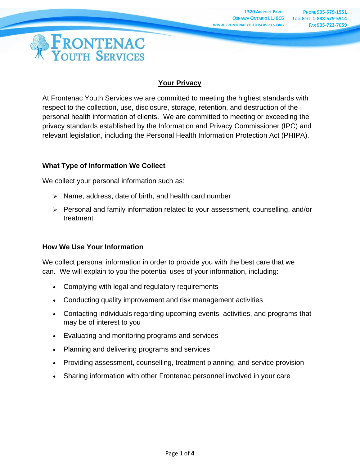

# **Your Privacy**

At Frontenac Youth Services we are committed to meeting the highest standards with respect to the collection, use, disclosure, storage, retention, and destruction of the personal health information of clients. We are committed to meeting or exceeding the privacy standards established by the Information and Privacy Commissioner (IPC) and relevant legislation, including the Personal Health Information Protection Act (PHIPA).

## **What Type of Information We Collect**

We collect your personal information such as:

- ➢ Name, address, date of birth, and health card number
- ➢ Personal and family information related to your assessment, counselling, and/or treatment

# **How We Use Your Information**

We collect personal information in order to provide you with the best care that we can. We will explain to you the potential uses of your information, including:

- Complying with legal and regulatory requirements
- Conducting quality improvement and risk management activities
- Contacting individuals regarding upcoming events, activities, and programs that may be of interest to you
- Evaluating and monitoring programs and services
- Planning and delivering programs and services
- Providing assessment, counselling, treatment planning, and service provision
- Sharing information with other Frontenac personnel involved in your care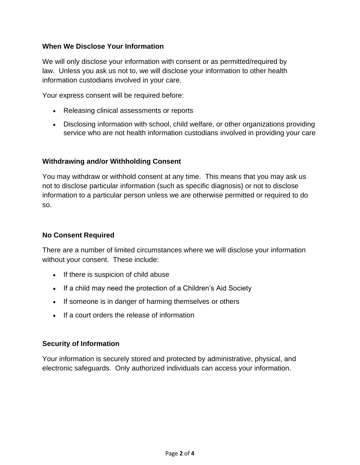# **When We Disclose Your Information**

We will only disclose your information with consent or as permitted/required by law. Unless you ask us not to, we will disclose your information to other health information custodians involved in your care.

Your express consent will be required before:

- Releasing clinical assessments or reports
- Disclosing information with school, child welfare, or other organizations providing service who are not health information custodians involved in providing your care

#### **Withdrawing and/or Withholding Consent**

You may withdraw or withhold consent at any time. This means that you may ask us not to disclose particular information (such as specific diagnosis) or not to disclose information to a particular person unless we are otherwise permitted or required to do so.

### **No Consent Required**

There are a number of limited circumstances where we will disclose your information without your consent. These include:

- If there is suspicion of child abuse
- If a child may need the protection of a Children's Aid Society
- If someone is in danger of harming themselves or others
- If a court orders the release of information

#### **Security of Information**

Your information is securely stored and protected by administrative, physical, and electronic safeguards. Only authorized individuals can access your information.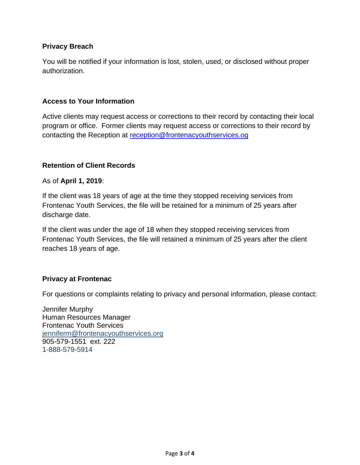# **Privacy Breach**

You will be notified if your information is lost, stolen, used, or disclosed without proper authorization.

#### **Access to Your Information**

Active clients may request access or corrections to their record by contacting their local program or office. Former clients may request access or corrections to their record by contacting the Reception at [reception@frontenacyouthservices.og](mailto:reception@frontenacyouthservices.og)

## **Retention of Client Records**

#### As of **April 1, 2019**:

If the client was 18 years of age at the time they stopped receiving services from Frontenac Youth Services, the file will be retained for a minimum of 25 years after discharge date.

If the client was under the age of 18 when they stopped receiving services from Frontenac Youth Services, the file will retained a minimum of 25 years after the client reaches 18 years of age.

#### **Privacy at Frontenac**

For questions or complaints relating to privacy and personal information, please contact:

Jennifer Murphy Human Resources Manager Frontenac Youth Services [jenniferm@frontenacyouthservices.org](mailto:jenniferm@frontenacyouthservices.org) 905-579-1551 ext. 222 1-888-579-5914